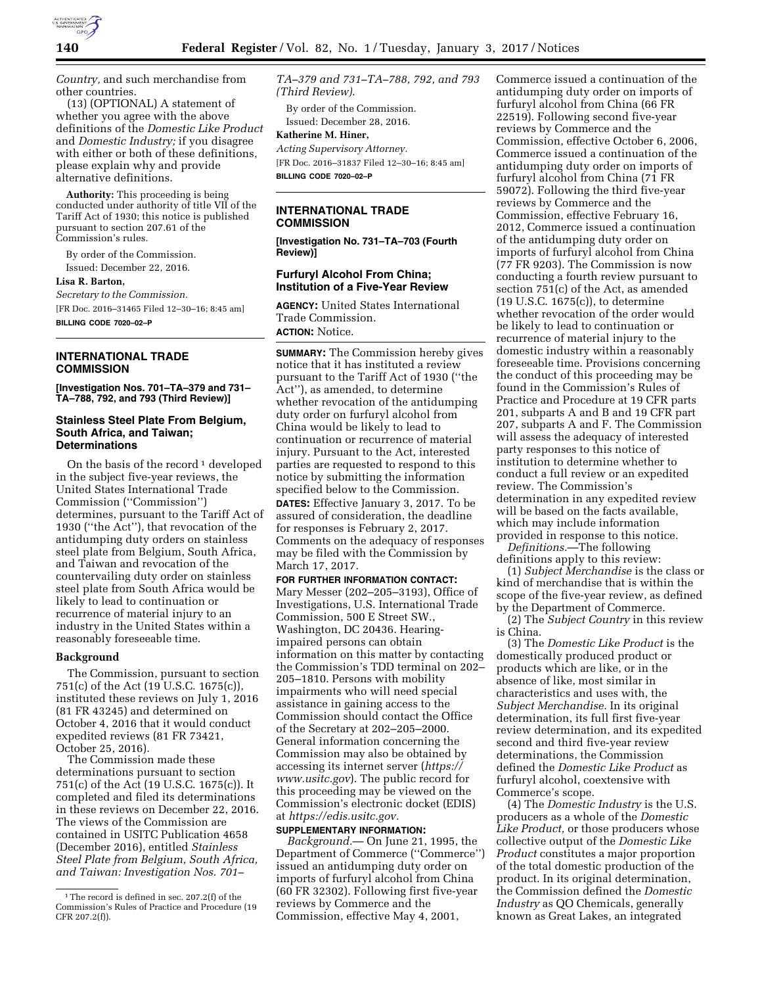

*Country,* and such merchandise from other countries.

(13) (OPTIONAL) A statement of whether you agree with the above definitions of the *Domestic Like Product*  and *Domestic Industry;* if you disagree with either or both of these definitions, please explain why and provide alternative definitions.

**Authority:** This proceeding is being conducted under authority of title VII of the Tariff Act of 1930; this notice is published pursuant to section 207.61 of the Commission's rules.

By order of the Commission. Issued: December 22, 2016.

**Lisa R. Barton,** 

*Secretary to the Commission.* 

[FR Doc. 2016–31465 Filed 12–30–16; 8:45 am] **BILLING CODE 7020–02–P** 

**INTERNATIONAL TRADE COMMISSION** 

**[Investigation Nos. 701–TA–379 and 731– TA–788, 792, and 793 (Third Review)]** 

#### **Stainless Steel Plate From Belgium, South Africa, and Taiwan; Determinations**

On the basis of the record<sup>1</sup> developed in the subject five-year reviews, the United States International Trade Commission (''Commission'') determines, pursuant to the Tariff Act of 1930 (''the Act''), that revocation of the antidumping duty orders on stainless steel plate from Belgium, South Africa, and Taiwan and revocation of the countervailing duty order on stainless steel plate from South Africa would be likely to lead to continuation or recurrence of material injury to an industry in the United States within a reasonably foreseeable time.

### **Background**

The Commission, pursuant to section 751(c) of the Act (19 U.S.C. 1675(c)), instituted these reviews on July 1, 2016 (81 FR 43245) and determined on October 4, 2016 that it would conduct expedited reviews (81 FR 73421, October 25, 2016).

The Commission made these determinations pursuant to section 751(c) of the Act (19 U.S.C. 1675(c)). It completed and filed its determinations in these reviews on December 22, 2016. The views of the Commission are contained in USITC Publication 4658 (December 2016), entitled *Stainless Steel Plate from Belgium, South Africa, and Taiwan: Investigation Nos. 701–* 

*TA–379 and 731–TA–788, 792, and 793 (Third Review)*.

By order of the Commission. Issued: December 28, 2016.

**Katherine M. Hiner,**  *Acting Supervisory Attorney.*  [FR Doc. 2016–31837 Filed 12–30–16; 8:45 am] **BILLING CODE 7020–02–P** 

## **INTERNATIONAL TRADE COMMISSION**

**[Investigation No. 731–TA–703 (Fourth Review)]** 

#### **Furfuryl Alcohol From China; Institution of a Five-Year Review**

**AGENCY:** United States International Trade Commission. **ACTION:** Notice.

**SUMMARY:** The Commission hereby gives notice that it has instituted a review pursuant to the Tariff Act of 1930 (''the Act''), as amended, to determine whether revocation of the antidumping duty order on furfuryl alcohol from China would be likely to lead to continuation or recurrence of material injury. Pursuant to the Act, interested parties are requested to respond to this notice by submitting the information specified below to the Commission. **DATES:** Effective January 3, 2017. To be assured of consideration, the deadline

for responses is February 2, 2017. Comments on the adequacy of responses may be filed with the Commission by March 17, 2017.

**FOR FURTHER INFORMATION CONTACT:**  Mary Messer (202–205–3193), Office of Investigations, U.S. International Trade Commission, 500 E Street SW., Washington, DC 20436. Hearingimpaired persons can obtain information on this matter by contacting the Commission's TDD terminal on 202– 205–1810. Persons with mobility impairments who will need special assistance in gaining access to the Commission should contact the Office of the Secretary at 202–205–2000. General information concerning the Commission may also be obtained by accessing its internet server (*[https://](https://www.usitc.gov)  [www.usitc.gov](https://www.usitc.gov)*). The public record for this proceeding may be viewed on the Commission's electronic docket (EDIS) at *[https://edis.usitc.gov.](https://edis.usitc.gov)* 

# **SUPPLEMENTARY INFORMATION:**

*Background.*— On June 21, 1995, the Department of Commerce (''Commerce'') issued an antidumping duty order on imports of furfuryl alcohol from China (60 FR 32302). Following first five-year reviews by Commerce and the Commission, effective May 4, 2001,

Commerce issued a continuation of the antidumping duty order on imports of furfuryl alcohol from China (66 FR 22519). Following second five-year reviews by Commerce and the Commission, effective October 6, 2006, Commerce issued a continuation of the antidumping duty order on imports of furfuryl alcohol from China (71 FR 59072). Following the third five-year reviews by Commerce and the Commission, effective February 16, 2012, Commerce issued a continuation of the antidumping duty order on imports of furfuryl alcohol from China (77 FR 9203). The Commission is now conducting a fourth review pursuant to section 751(c) of the Act, as amended (19 U.S.C. 1675(c)), to determine whether revocation of the order would be likely to lead to continuation or recurrence of material injury to the domestic industry within a reasonably foreseeable time. Provisions concerning the conduct of this proceeding may be found in the Commission's Rules of Practice and Procedure at 19 CFR parts 201, subparts A and B and 19 CFR part 207, subparts A and F. The Commission will assess the adequacy of interested party responses to this notice of institution to determine whether to conduct a full review or an expedited review. The Commission's determination in any expedited review will be based on the facts available, which may include information provided in response to this notice.

*Definitions.*—The following definitions apply to this review:

(1) *Subject Merchandise* is the class or kind of merchandise that is within the scope of the five-year review, as defined by the Department of Commerce.

(2) The *Subject Country* in this review is China.

(3) The *Domestic Like Product* is the domestically produced product or products which are like, or in the absence of like, most similar in characteristics and uses with, the *Subject Merchandise.* In its original determination, its full first five-year review determination, and its expedited second and third five-year review determinations, the Commission defined the *Domestic Like Product* as furfuryl alcohol, coextensive with Commerce's scope.

(4) The *Domestic Industry* is the U.S. producers as a whole of the *Domestic Like Product,* or those producers whose collective output of the *Domestic Like Product* constitutes a major proportion of the total domestic production of the product. In its original determination, the Commission defined the *Domestic Industry* as QO Chemicals, generally known as Great Lakes, an integrated

<sup>&</sup>lt;sup>1</sup>The record is defined in sec. 207.2(f) of the Commission's Rules of Practice and Procedure (19 CFR 207.2(f)).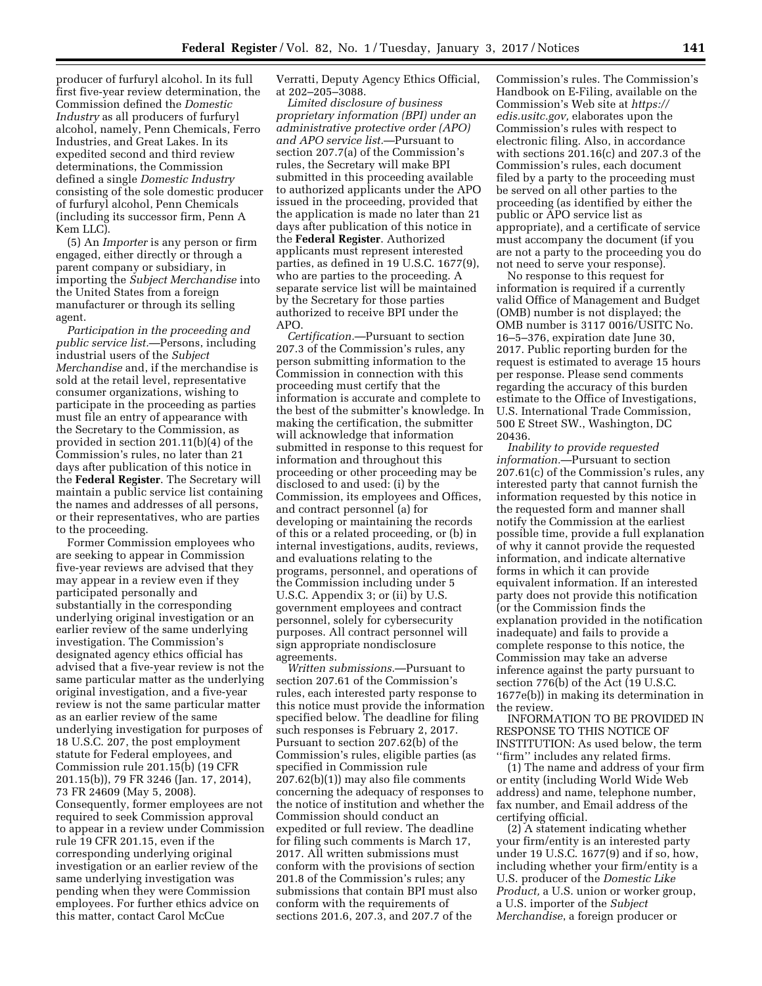producer of furfuryl alcohol. In its full first five-year review determination, the Commission defined the *Domestic Industry* as all producers of furfuryl alcohol, namely, Penn Chemicals, Ferro Industries, and Great Lakes. In its expedited second and third review determinations, the Commission defined a single *Domestic Industry*  consisting of the sole domestic producer of furfuryl alcohol, Penn Chemicals (including its successor firm, Penn A Kem LLC).

(5) An *Importer* is any person or firm engaged, either directly or through a parent company or subsidiary, in importing the *Subject Merchandise* into the United States from a foreign manufacturer or through its selling agent.

*Participation in the proceeding and public service list.*—Persons, including industrial users of the *Subject Merchandise* and, if the merchandise is sold at the retail level, representative consumer organizations, wishing to participate in the proceeding as parties must file an entry of appearance with the Secretary to the Commission, as provided in section 201.11(b)(4) of the Commission's rules, no later than 21 days after publication of this notice in the **Federal Register**. The Secretary will maintain a public service list containing the names and addresses of all persons, or their representatives, who are parties to the proceeding.

Former Commission employees who are seeking to appear in Commission five-year reviews are advised that they may appear in a review even if they participated personally and substantially in the corresponding underlying original investigation or an earlier review of the same underlying investigation. The Commission's designated agency ethics official has advised that a five-year review is not the same particular matter as the underlying original investigation, and a five-year review is not the same particular matter as an earlier review of the same underlying investigation for purposes of 18 U.S.C. 207, the post employment statute for Federal employees, and Commission rule 201.15(b) (19 CFR 201.15(b)), 79 FR 3246 (Jan. 17, 2014), 73 FR 24609 (May 5, 2008). Consequently, former employees are not required to seek Commission approval to appear in a review under Commission rule 19 CFR 201.15, even if the corresponding underlying original investigation or an earlier review of the same underlying investigation was pending when they were Commission employees. For further ethics advice on this matter, contact Carol McCue

Verratti, Deputy Agency Ethics Official, at 202–205–3088.

*Limited disclosure of business proprietary information (BPI) under an administrative protective order (APO) and APO service list.*—Pursuant to section 207.7(a) of the Commission's rules, the Secretary will make BPI submitted in this proceeding available to authorized applicants under the APO issued in the proceeding, provided that the application is made no later than 21 days after publication of this notice in the **Federal Register**. Authorized applicants must represent interested parties, as defined in 19 U.S.C. 1677(9), who are parties to the proceeding. A separate service list will be maintained by the Secretary for those parties authorized to receive BPI under the APO.

*Certification.*—Pursuant to section 207.3 of the Commission's rules, any person submitting information to the Commission in connection with this proceeding must certify that the information is accurate and complete to the best of the submitter's knowledge. In making the certification, the submitter will acknowledge that information submitted in response to this request for information and throughout this proceeding or other proceeding may be disclosed to and used: (i) by the Commission, its employees and Offices, and contract personnel (a) for developing or maintaining the records of this or a related proceeding, or (b) in internal investigations, audits, reviews, and evaluations relating to the programs, personnel, and operations of the Commission including under 5 U.S.C. Appendix 3; or (ii) by U.S. government employees and contract personnel, solely for cybersecurity purposes. All contract personnel will sign appropriate nondisclosure agreements.

*Written submissions.*—Pursuant to section 207.61 of the Commission's rules, each interested party response to this notice must provide the information specified below. The deadline for filing such responses is February 2, 2017. Pursuant to section 207.62(b) of the Commission's rules, eligible parties (as specified in Commission rule 207.62(b)(1)) may also file comments concerning the adequacy of responses to the notice of institution and whether the Commission should conduct an expedited or full review. The deadline for filing such comments is March 17, 2017. All written submissions must conform with the provisions of section 201.8 of the Commission's rules; any submissions that contain BPI must also conform with the requirements of sections 201.6, 207.3, and 207.7 of the

Commission's rules. The Commission's Handbook on E-Filing, available on the Commission's Web site at *[https://](https://edis.usitc.gov)  [edis.usitc.gov,](https://edis.usitc.gov)* elaborates upon the Commission's rules with respect to electronic filing. Also, in accordance with sections 201.16(c) and 207.3 of the Commission's rules, each document filed by a party to the proceeding must be served on all other parties to the proceeding (as identified by either the public or APO service list as appropriate), and a certificate of service must accompany the document (if you are not a party to the proceeding you do not need to serve your response).

No response to this request for information is required if a currently valid Office of Management and Budget (OMB) number is not displayed; the OMB number is 3117 0016/USITC No. 16–5–376, expiration date June 30, 2017. Public reporting burden for the request is estimated to average 15 hours per response. Please send comments regarding the accuracy of this burden estimate to the Office of Investigations, U.S. International Trade Commission, 500 E Street SW., Washington, DC 20436.

*Inability to provide requested information.*—Pursuant to section 207.61(c) of the Commission's rules, any interested party that cannot furnish the information requested by this notice in the requested form and manner shall notify the Commission at the earliest possible time, provide a full explanation of why it cannot provide the requested information, and indicate alternative forms in which it can provide equivalent information. If an interested party does not provide this notification (or the Commission finds the explanation provided in the notification inadequate) and fails to provide a complete response to this notice, the Commission may take an adverse inference against the party pursuant to section 776(b) of the Act (19 U.S.C. 1677e(b)) in making its determination in the review.

INFORMATION TO BE PROVIDED IN RESPONSE TO THIS NOTICE OF INSTITUTION: As used below, the term ''firm'' includes any related firms.

(1) The name and address of your firm or entity (including World Wide Web address) and name, telephone number, fax number, and Email address of the certifying official.

(2) A statement indicating whether your firm/entity is an interested party under 19 U.S.C. 1677(9) and if so, how, including whether your firm/entity is a U.S. producer of the *Domestic Like Product,* a U.S. union or worker group, a U.S. importer of the *Subject Merchandise*, a foreign producer or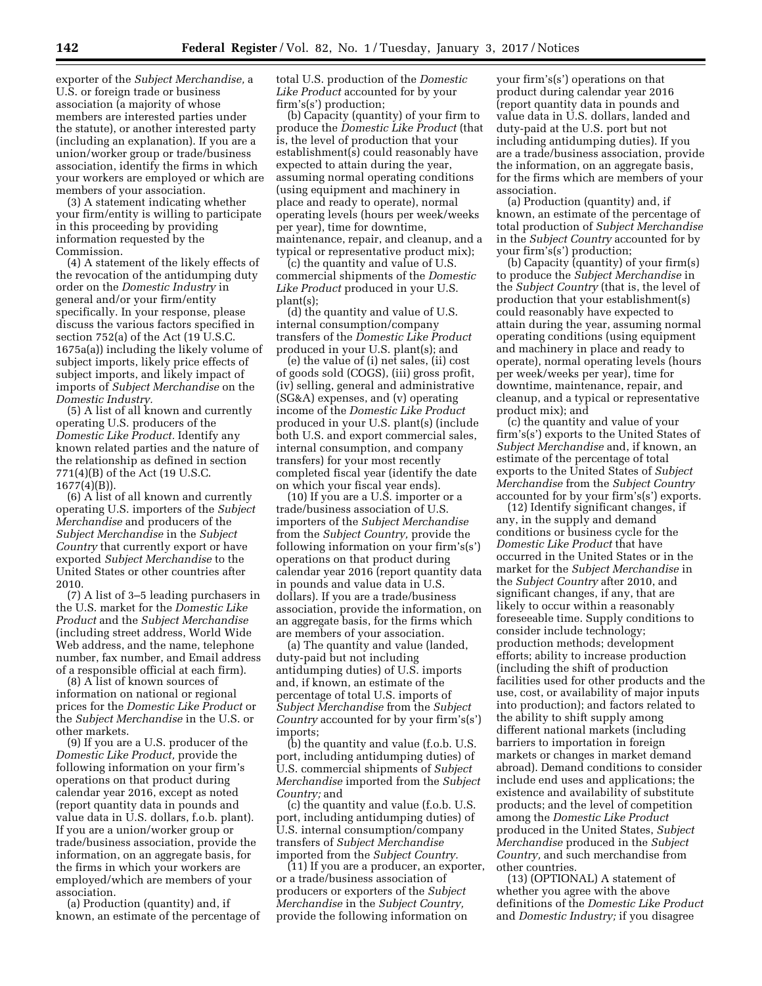exporter of the *Subject Merchandise,* a U.S. or foreign trade or business association (a majority of whose members are interested parties under the statute), or another interested party (including an explanation). If you are a union/worker group or trade/business association, identify the firms in which your workers are employed or which are members of your association.

(3) A statement indicating whether your firm/entity is willing to participate in this proceeding by providing information requested by the Commission.

(4) A statement of the likely effects of the revocation of the antidumping duty order on the *Domestic Industry* in general and/or your firm/entity specifically. In your response, please discuss the various factors specified in section 752(a) of the Act (19 U.S.C. 1675a(a)) including the likely volume of subject imports, likely price effects of subject imports, and likely impact of imports of *Subject Merchandise* on the *Domestic Industry.* 

(5) A list of all known and currently operating U.S. producers of the *Domestic Like Product.* Identify any known related parties and the nature of the relationship as defined in section 771(4)(B) of the Act (19 U.S.C. 1677(4)(B)).

(6) A list of all known and currently operating U.S. importers of the *Subject Merchandise* and producers of the *Subject Merchandise* in the *Subject Country* that currently export or have exported *Subject Merchandise* to the United States or other countries after 2010.

(7) A list of 3–5 leading purchasers in the U.S. market for the *Domestic Like Product* and the *Subject Merchandise*  (including street address, World Wide Web address, and the name, telephone number, fax number, and Email address of a responsible official at each firm).

(8) A list of known sources of information on national or regional prices for the *Domestic Like Product* or the *Subject Merchandise* in the U.S. or other markets.

(9) If you are a U.S. producer of the *Domestic Like Product,* provide the following information on your firm's operations on that product during calendar year 2016, except as noted (report quantity data in pounds and value data in U.S. dollars, f.o.b. plant). If you are a union/worker group or trade/business association, provide the information, on an aggregate basis, for the firms in which your workers are employed/which are members of your association.

(a) Production (quantity) and, if known, an estimate of the percentage of total U.S. production of the *Domestic Like Product* accounted for by your firm's(s') production;

(b) Capacity (quantity) of your firm to produce the *Domestic Like Product* (that is, the level of production that your establishment(s) could reasonably have expected to attain during the year, assuming normal operating conditions (using equipment and machinery in place and ready to operate), normal operating levels (hours per week/weeks per year), time for downtime, maintenance, repair, and cleanup, and a typical or representative product mix);

(c) the quantity and value of U.S. commercial shipments of the *Domestic Like Product* produced in your U.S. plant(s);

(d) the quantity and value of U.S. internal consumption/company transfers of the *Domestic Like Product*  produced in your U.S. plant(s); and

(e) the value of (i) net sales, (ii) cost of goods sold (COGS), (iii) gross profit, (iv) selling, general and administrative (SG&A) expenses, and (v) operating income of the *Domestic Like Product*  produced in your U.S. plant(s) (include both U.S. and export commercial sales, internal consumption, and company transfers) for your most recently completed fiscal year (identify the date on which your fiscal year ends).

(10) If you are a U.S. importer or a trade/business association of U.S. importers of the *Subject Merchandise*  from the *Subject Country,* provide the following information on your firm's(s') operations on that product during calendar year 2016 (report quantity data in pounds and value data in U.S. dollars). If you are a trade/business association, provide the information, on an aggregate basis, for the firms which are members of your association.

(a) The quantity and value (landed, duty-paid but not including antidumping duties) of U.S. imports and, if known, an estimate of the percentage of total U.S. imports of *Subject Merchandise* from the *Subject Country* accounted for by your firm's(s') imports;

(b) the quantity and value (f.o.b. U.S. port, including antidumping duties) of U.S. commercial shipments of *Subject Merchandise* imported from the *Subject Country;* and

(c) the quantity and value (f.o.b. U.S. port, including antidumping duties) of U.S. internal consumption/company transfers of *Subject Merchandise*  imported from the *Subject Country.* 

(11) If you are a producer, an exporter, or a trade/business association of producers or exporters of the *Subject Merchandise* in the *Subject Country,*  provide the following information on

your firm's(s') operations on that product during calendar year 2016 (report quantity data in pounds and value data in U.S. dollars, landed and duty-paid at the U.S. port but not including antidumping duties). If you are a trade/business association, provide the information, on an aggregate basis, for the firms which are members of your association.

(a) Production (quantity) and, if known, an estimate of the percentage of total production of *Subject Merchandise*  in the *Subject Country* accounted for by your firm's(s') production;

(b) Capacity (quantity) of your firm(s) to produce the *Subject Merchandise* in the *Subject Country* (that is, the level of production that your establishment(s) could reasonably have expected to attain during the year, assuming normal operating conditions (using equipment and machinery in place and ready to operate), normal operating levels (hours per week/weeks per year), time for downtime, maintenance, repair, and cleanup, and a typical or representative product mix); and

(c) the quantity and value of your firm's(s') exports to the United States of *Subject Merchandise* and, if known, an estimate of the percentage of total exports to the United States of *Subject Merchandise* from the *Subject Country*  accounted for by your firm's(s') exports.

(12) Identify significant changes, if any, in the supply and demand conditions or business cycle for the *Domestic Like Product* that have occurred in the United States or in the market for the *Subject Merchandise* in the *Subject Country* after 2010, and significant changes, if any, that are likely to occur within a reasonably foreseeable time. Supply conditions to consider include technology; production methods; development efforts; ability to increase production (including the shift of production facilities used for other products and the use, cost, or availability of major inputs into production); and factors related to the ability to shift supply among different national markets (including barriers to importation in foreign markets or changes in market demand abroad). Demand conditions to consider include end uses and applications; the existence and availability of substitute products; and the level of competition among the *Domestic Like Product*  produced in the United States, *Subject Merchandise* produced in the *Subject Country,* and such merchandise from other countries.

(13) (OPTIONAL) A statement of whether you agree with the above definitions of the *Domestic Like Product*  and *Domestic Industry;* if you disagree